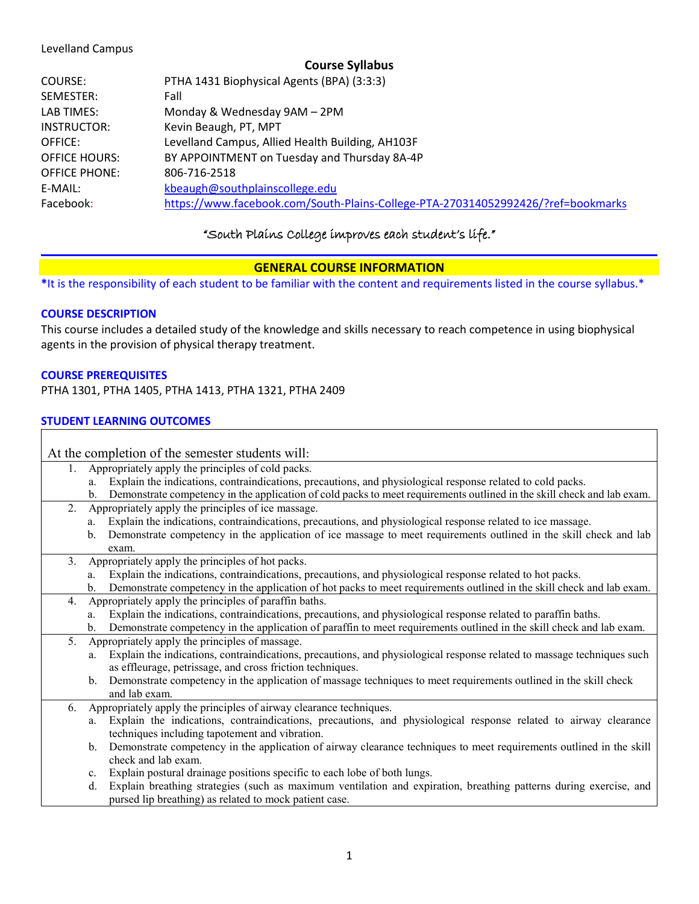## Levelland Campus

| COURSE:              | PTHA 1431 Biophysical Agents (BPA) (3:3:3)                                       |
|----------------------|----------------------------------------------------------------------------------|
| SEMESTER:            | Fall                                                                             |
| LAB TIMES:           | Monday & Wednesday 9AM - 2PM                                                     |
| INSTRUCTOR:          | Kevin Beaugh, PT, MPT                                                            |
| OFFICE:              | Levelland Campus, Allied Health Building, AH103F                                 |
| <b>OFFICE HOURS:</b> | BY APPOINTMENT on Tuesday and Thursday 8A-4P                                     |
| <b>OFFICE PHONE:</b> | 806-716-2518                                                                     |
| E-MAIL:              | kbeaugh@southplainscollege.edu                                                   |
| Facebook:            | https://www.facebook.com/South-Plains-College-PTA-270314052992426/?ref=bookmarks |

# "South Plains College improves each student's life."

# **GENERAL COURSE INFORMATION**

**\***It is the responsibility of each student to be familiar with the content and requirements listed in the course syllabus.\*

# **COURSE DESCRIPTION**

This course includes a detailed study of the knowledge and skills necessary to reach competence in using biophysical agents in the provision of physical therapy treatment.

## **COURSE PREREQUISITES**

PTHA 1301, PTHA 1405, PTHA 1413, PTHA 1321, PTHA 2409

# **STUDENT LEARNING OUTCOMES**

| At the completion of the semester students will: |                                                                                                                              |  |  |
|--------------------------------------------------|------------------------------------------------------------------------------------------------------------------------------|--|--|
| 1.                                               | Appropriately apply the principles of cold packs.                                                                            |  |  |
|                                                  | Explain the indications, contraindications, precautions, and physiological response related to cold packs.<br>a.             |  |  |
|                                                  | Demonstrate competency in the application of cold packs to meet requirements outlined in the skill check and lab exam.<br>b. |  |  |
| 2.                                               | Appropriately apply the principles of ice massage.                                                                           |  |  |
|                                                  | Explain the indications, contraindications, precautions, and physiological response related to ice massage.<br>a.            |  |  |
|                                                  | Demonstrate competency in the application of ice massage to meet requirements outlined in the skill check and lab<br>b.      |  |  |
|                                                  | exam.                                                                                                                        |  |  |
| 3.                                               | Appropriately apply the principles of hot packs.                                                                             |  |  |
|                                                  | Explain the indications, contraindications, precautions, and physiological response related to hot packs.<br>a.              |  |  |
|                                                  | Demonstrate competency in the application of hot packs to meet requirements outlined in the skill check and lab exam.<br>b.  |  |  |
| 4.                                               | Appropriately apply the principles of paraffin baths.                                                                        |  |  |
|                                                  | Explain the indications, contraindications, precautions, and physiological response related to paraffin baths.<br>a.         |  |  |
|                                                  | Demonstrate competency in the application of paraffin to meet requirements outlined in the skill check and lab exam.<br>b.   |  |  |
| 5.                                               | Appropriately apply the principles of massage.                                                                               |  |  |
|                                                  | Explain the indications, contraindications, precautions, and physiological response related to massage techniques such<br>a. |  |  |
|                                                  | as effleurage, petrissage, and cross friction techniques.                                                                    |  |  |
|                                                  | Demonstrate competency in the application of massage techniques to meet requirements outlined in the skill check<br>b.       |  |  |
|                                                  | and lab exam.                                                                                                                |  |  |
| 6.                                               | Appropriately apply the principles of airway clearance techniques.                                                           |  |  |
|                                                  | Explain the indications, contraindications, precautions, and physiological response related to airway clearance<br>a.        |  |  |
|                                                  | techniques including tapotement and vibration.                                                                               |  |  |
|                                                  | Demonstrate competency in the application of airway clearance techniques to meet requirements outlined in the skill<br>b.    |  |  |
|                                                  | check and lab exam.                                                                                                          |  |  |
|                                                  | Explain postural drainage positions specific to each lobe of both lungs.<br>c.                                               |  |  |
|                                                  | Explain breathing strategies (such as maximum ventilation and expiration, breathing patterns during exercise, and<br>d.      |  |  |
|                                                  | pursed lip breathing) as related to mock patient case.                                                                       |  |  |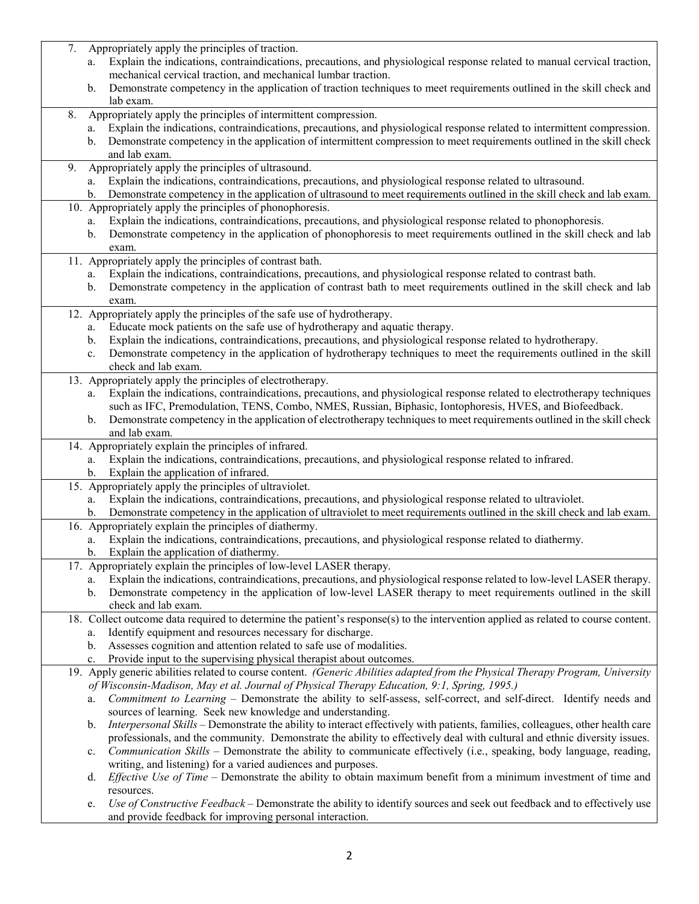| 7. | Appropriately apply the principles of traction.                                                                                                                                       |
|----|---------------------------------------------------------------------------------------------------------------------------------------------------------------------------------------|
|    | Explain the indications, contraindications, precautions, and physiological response related to manual cervical traction,<br>a.                                                        |
|    | mechanical cervical traction, and mechanical lumbar traction.                                                                                                                         |
|    | Demonstrate competency in the application of traction techniques to meet requirements outlined in the skill check and<br>b.<br>lab exam.                                              |
| 8. | Appropriately apply the principles of intermittent compression.                                                                                                                       |
|    | Explain the indications, contraindications, precautions, and physiological response related to intermittent compression.<br>a.                                                        |
|    | Demonstrate competency in the application of intermittent compression to meet requirements outlined in the skill check<br>b.                                                          |
|    | and lab exam.                                                                                                                                                                         |
| 9. | Appropriately apply the principles of ultrasound.                                                                                                                                     |
|    | Explain the indications, contraindications, precautions, and physiological response related to ultrasound.<br>a.                                                                      |
|    | Demonstrate competency in the application of ultrasound to meet requirements outlined in the skill check and lab exam.<br>b.                                                          |
|    | 10. Appropriately apply the principles of phonophoresis.<br>Explain the indications, contraindications, precautions, and physiological response related to phonophoresis.<br>a.       |
|    | Demonstrate competency in the application of phonophoresis to meet requirements outlined in the skill check and lab<br>b.                                                             |
|    | exam.                                                                                                                                                                                 |
|    | 11. Appropriately apply the principles of contrast bath.                                                                                                                              |
|    | Explain the indications, contraindications, precautions, and physiological response related to contrast bath.<br>a.                                                                   |
|    | Demonstrate competency in the application of contrast bath to meet requirements outlined in the skill check and lab<br>b.                                                             |
|    | exam.                                                                                                                                                                                 |
|    | 12. Appropriately apply the principles of the safe use of hydrotherapy.<br>Educate mock patients on the safe use of hydrotherapy and aquatic therapy.                                 |
|    | a.<br>Explain the indications, contraindications, precautions, and physiological response related to hydrotherapy.<br>b.                                                              |
|    | Demonstrate competency in the application of hydrotherapy techniques to meet the requirements outlined in the skill<br>c.                                                             |
|    | check and lab exam.                                                                                                                                                                   |
|    | 13. Appropriately apply the principles of electrotherapy.                                                                                                                             |
|    | Explain the indications, contraindications, precautions, and physiological response related to electrotherapy techniques<br>a.                                                        |
|    | such as IFC, Premodulation, TENS, Combo, NMES, Russian, Biphasic, Iontophoresis, HVES, and Biofeedback.                                                                               |
|    | Demonstrate competency in the application of electrotherapy techniques to meet requirements outlined in the skill check<br>b.                                                         |
|    | and lab exam.<br>14. Appropriately explain the principles of infrared.                                                                                                                |
|    | Explain the indications, contraindications, precautions, and physiological response related to infrared.<br>a.                                                                        |
|    | Explain the application of infrared.<br>b.                                                                                                                                            |
|    | 15. Appropriately apply the principles of ultraviolet.                                                                                                                                |
|    | Explain the indications, contraindications, precautions, and physiological response related to ultraviolet.<br>a.                                                                     |
|    | Demonstrate competency in the application of ultraviolet to meet requirements outlined in the skill check and lab exam.<br>b.                                                         |
|    | 16. Appropriately explain the principles of diathermy.                                                                                                                                |
|    | Explain the indications, contraindications, precautions, and physiological response related to diathermy.<br>a.<br>Explain the application of diathermy.<br>b.                        |
|    | 17. Appropriately explain the principles of low-level LASER therapy.                                                                                                                  |
|    | Explain the indications, contraindications, precautions, and physiological response related to low-level LASER therapy.<br>a.                                                         |
|    | Demonstrate competency in the application of low-level LASER therapy to meet requirements outlined in the skill<br>b.                                                                 |
|    | check and lab exam.                                                                                                                                                                   |
|    | 18. Collect outcome data required to determine the patient's response(s) to the intervention applied as related to course content.                                                    |
|    | Identify equipment and resources necessary for discharge.<br>a.                                                                                                                       |
|    | Assesses cognition and attention related to safe use of modalities.<br>b.<br>Provide input to the supervising physical therapist about outcomes.                                      |
|    | c.<br>19. Apply generic abilities related to course content. (Generic Abilities adapted from the Physical Therapy Program, University                                                 |
|    | of Wisconsin-Madison, May et al. Journal of Physical Therapy Education, 9:1, Spring, 1995.)                                                                                           |
|    | Commitment to Learning - Demonstrate the ability to self-assess, self-correct, and self-direct. Identify needs and<br>a.                                                              |
|    | sources of learning. Seek new knowledge and understanding.                                                                                                                            |
|    | Interpersonal Skills – Demonstrate the ability to interact effectively with patients, families, colleagues, other health care<br>b.                                                   |
|    | professionals, and the community. Demonstrate the ability to effectively deal with cultural and ethnic diversity issues.                                                              |
|    | Communication Skills – Demonstrate the ability to communicate effectively (i.e., speaking, body language, reading,<br>c.                                                              |
|    | writing, and listening) for a varied audiences and purposes.<br>Effective Use of Time – Demonstrate the ability to obtain maximum benefit from a minimum investment of time and<br>d. |
|    | resources.                                                                                                                                                                            |
|    | Use of Constructive Feedback - Demonstrate the ability to identify sources and seek out feedback and to effectively use<br>e.                                                         |
|    | and provide feedback for improving personal interaction.                                                                                                                              |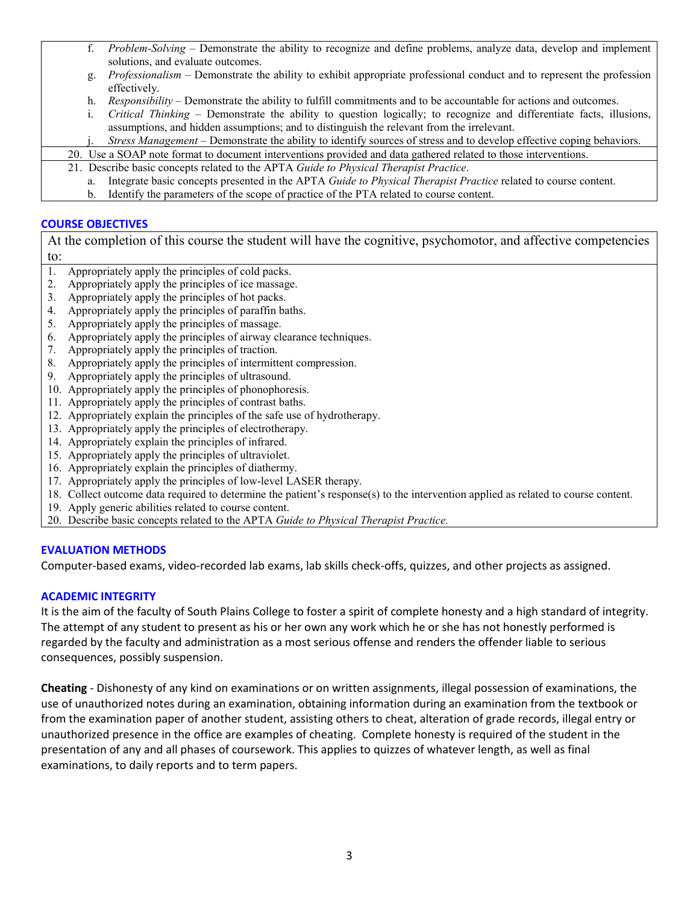| f.                                                                                                              | Problem-Solving – Demonstrate the ability to recognize and define problems, analyze data, develop and implement              |  |  |
|-----------------------------------------------------------------------------------------------------------------|------------------------------------------------------------------------------------------------------------------------------|--|--|
|                                                                                                                 | solutions, and evaluate outcomes.                                                                                            |  |  |
| g.                                                                                                              | <i>Professionalism</i> – Demonstrate the ability to exhibit appropriate professional conduct and to represent the profession |  |  |
|                                                                                                                 | effectively.                                                                                                                 |  |  |
| h.                                                                                                              | <i>Responsibility</i> – Demonstrate the ability to fulfill commitments and to be accountable for actions and outcomes.       |  |  |
|                                                                                                                 | Critical Thinking – Demonstrate the ability to question logically; to recognize and differentiate facts, illusions,          |  |  |
|                                                                                                                 | assumptions, and hidden assumptions; and to distinguish the relevant from the irrelevant.                                    |  |  |
|                                                                                                                 | Stress Management – Demonstrate the ability to identify sources of stress and to develop effective coping behaviors.         |  |  |
| 20. Use a SOAP note format to document interventions provided and data gathered related to those interventions. |                                                                                                                              |  |  |
|                                                                                                                 | 21. Describe basic concepts related to the APTA Guide to Physical Therapist Practice.                                        |  |  |
| a.                                                                                                              | Integrate basic concepts presented in the APTA Guide to Physical Therapist Practice related to course content.               |  |  |
| b.                                                                                                              | Identify the parameters of the scope of practice of the PTA related to course content.                                       |  |  |

# **COURSE OBJECTIVES**

At the completion of this course the student will have the cognitive, psychomotor, and affective competencies to:

- 1. Appropriately apply the principles of cold packs.
- 2. Appropriately apply the principles of ice massage.
- 3. Appropriately apply the principles of hot packs.
- 4. Appropriately apply the principles of paraffin baths.
- 5. Appropriately apply the principles of massage.
- 6. Appropriately apply the principles of airway clearance techniques.
- 7. Appropriately apply the principles of traction.
- 8. Appropriately apply the principles of intermittent compression.
- 9. Appropriately apply the principles of ultrasound.
- 10. Appropriately apply the principles of phonophoresis.
- 11. Appropriately apply the principles of contrast baths.
- 12. Appropriately explain the principles of the safe use of hydrotherapy.
- 13. Appropriately apply the principles of electrotherapy.
- 14. Appropriately explain the principles of infrared.
- 15. Appropriately apply the principles of ultraviolet.
- 16. Appropriately explain the principles of diathermy.
- 17. Appropriately apply the principles of low-level LASER therapy.
- 18. Collect outcome data required to determine the patient's response(s) to the intervention applied as related to course content.
- 19. Apply generic abilities related to course content.
- 20. Describe basic concepts related to the APTA *Guide to Physical Therapist Practice.*

#### **EVALUATION METHODS**

Computer-based exams, video-recorded lab exams, lab skills check-offs, quizzes, and other projects as assigned.

#### **ACADEMIC INTEGRITY**

It is the aim of the faculty of South Plains College to foster a spirit of complete honesty and a high standard of integrity. The attempt of any student to present as his or her own any work which he or she has not honestly performed is regarded by the faculty and administration as a most serious offense and renders the offender liable to serious consequences, possibly suspension.

**Cheating** - Dishonesty of any kind on examinations or on written assignments, illegal possession of examinations, the use of unauthorized notes during an examination, obtaining information during an examination from the textbook or from the examination paper of another student, assisting others to cheat, alteration of grade records, illegal entry or unauthorized presence in the office are examples of cheating. Complete honesty is required of the student in the presentation of any and all phases of coursework. This applies to quizzes of whatever length, as well as final examinations, to daily reports and to term papers.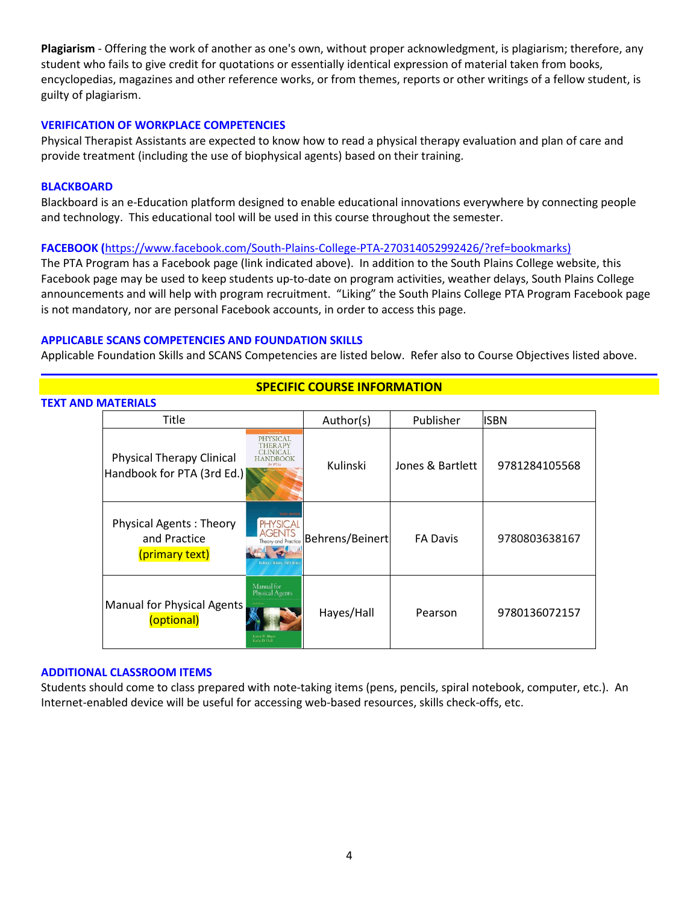**Plagiarism** - Offering the work of another as one's own, without proper acknowledgment, is plagiarism; therefore, any student who fails to give credit for quotations or essentially identical expression of material taken from books, encyclopedias, magazines and other reference works, or from themes, reports or other writings of a fellow student, is guilty of plagiarism.

# **VERIFICATION OF WORKPLACE COMPETENCIES**

Physical Therapist Assistants are expected to know how to read a physical therapy evaluation and plan of care and provide treatment (including the use of biophysical agents) based on their training.

## **BLACKBOARD**

Blackboard is an e-Education platform designed to enable educational innovations everywhere by connecting people and technology. This educational tool will be used in this course throughout the semester.

# **FACEBOOK (**[https://www.facebook.com/South-Plains-College-PTA-270314052992426/?ref=bookmarks\)](https://www.facebook.com/South-Plains-College-PTA-270314052992426/?ref=bookmarks)

The PTA Program has a Facebook page (link indicated above). In addition to the South Plains College website, this Facebook page may be used to keep students up-to-date on program activities, weather delays, South Plains College announcements and will help with program recruitment. "Liking" the South Plains College PTA Program Facebook page is not mandatory, nor are personal Facebook accounts, in order to access this page.

# **APPLICABLE SCANS COMPETENCIES AND FOUNDATION SKILLS**

Applicable Foundation Skills and SCANS Competencies are listed below. Refer also to Course Objectives listed above.

# **TEXT AND MATERIALS** Title **Author(s)** Publisher ISBN **PHYSICAL** Physical Therapy Clinical<br>Handbook for PTA (3rd Ed.) Therapy<br>Handbook for PTA (3rd Ed.) The Fig. 6 Kulinski Jones & Bartlett 9781284105568 Physical Therapy Clinical Physical Agents : Theory **GENTS** and Practice Behrens/Beinert FA Davis 9780803638167 and Proc (primary text) Manual for<br>Physical Agents Manual for Physical Agents Of Hysical Agency Hayes/Hall | Pearson | 9780136072157

# **SPECIFIC COURSE INFORMATION**

#### **ADDITIONAL CLASSROOM ITEMS**

Students should come to class prepared with note-taking items (pens, pencils, spiral notebook, computer, etc.). An Internet-enabled device will be useful for accessing web-based resources, skills check-offs, etc.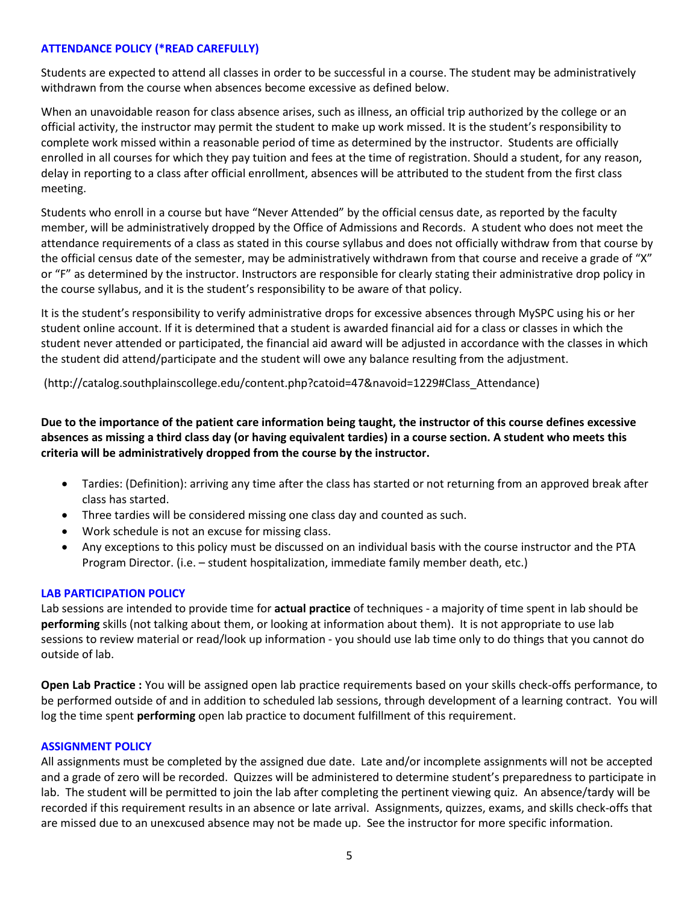# **ATTENDANCE POLICY (\*READ CAREFULLY)**

Students are expected to attend all classes in order to be successful in a course. The student may be administratively withdrawn from the course when absences become excessive as defined below.

When an unavoidable reason for class absence arises, such as illness, an official trip authorized by the college or an official activity, the instructor may permit the student to make up work missed. It is the student's responsibility to complete work missed within a reasonable period of time as determined by the instructor. Students are officially enrolled in all courses for which they pay tuition and fees at the time of registration. Should a student, for any reason, delay in reporting to a class after official enrollment, absences will be attributed to the student from the first class meeting.

Students who enroll in a course but have "Never Attended" by the official census date, as reported by the faculty member, will be administratively dropped by the Office of Admissions and Records. A student who does not meet the attendance requirements of a class as stated in this course syllabus and does not officially withdraw from that course by the official census date of the semester, may be administratively withdrawn from that course and receive a grade of "X" or "F" as determined by the instructor. Instructors are responsible for clearly stating their administrative drop policy in the course syllabus, and it is the student's responsibility to be aware of that policy.

It is the student's responsibility to verify administrative drops for excessive absences through MySPC using his or her student online account. If it is determined that a student is awarded financial aid for a class or classes in which the student never attended or participated, the financial aid award will be adjusted in accordance with the classes in which the student did attend/participate and the student will owe any balance resulting from the adjustment.

(http://catalog.southplainscollege.edu/content.php?catoid=47&navoid=1229#Class\_Attendance)

**Due to the importance of the patient care information being taught, the instructor of this course defines excessive absences as missing a third class day (or having equivalent tardies) in a course section. A student who meets this criteria will be administratively dropped from the course by the instructor.**

- Tardies: (Definition): arriving any time after the class has started or not returning from an approved break after class has started.
- Three tardies will be considered missing one class day and counted as such.
- Work schedule is not an excuse for missing class.
- Any exceptions to this policy must be discussed on an individual basis with the course instructor and the PTA Program Director. (i.e. – student hospitalization, immediate family member death, etc.)

# **LAB PARTICIPATION POLICY**

Lab sessions are intended to provide time for **actual practice** of techniques - a majority of time spent in lab should be **performing** skills (not talking about them, or looking at information about them). It is not appropriate to use lab sessions to review material or read/look up information - you should use lab time only to do things that you cannot do outside of lab.

**Open Lab Practice :** You will be assigned open lab practice requirements based on your skills check-offs performance, to be performed outside of and in addition to scheduled lab sessions, through development of a learning contract. You will log the time spent **performing** open lab practice to document fulfillment of this requirement.

# **ASSIGNMENT POLICY**

All assignments must be completed by the assigned due date. Late and/or incomplete assignments will not be accepted and a grade of zero will be recorded. Quizzes will be administered to determine student's preparedness to participate in lab. The student will be permitted to join the lab after completing the pertinent viewing quiz. An absence/tardy will be recorded if this requirement results in an absence or late arrival. Assignments, quizzes, exams, and skills check-offs that are missed due to an unexcused absence may not be made up. See the instructor for more specific information.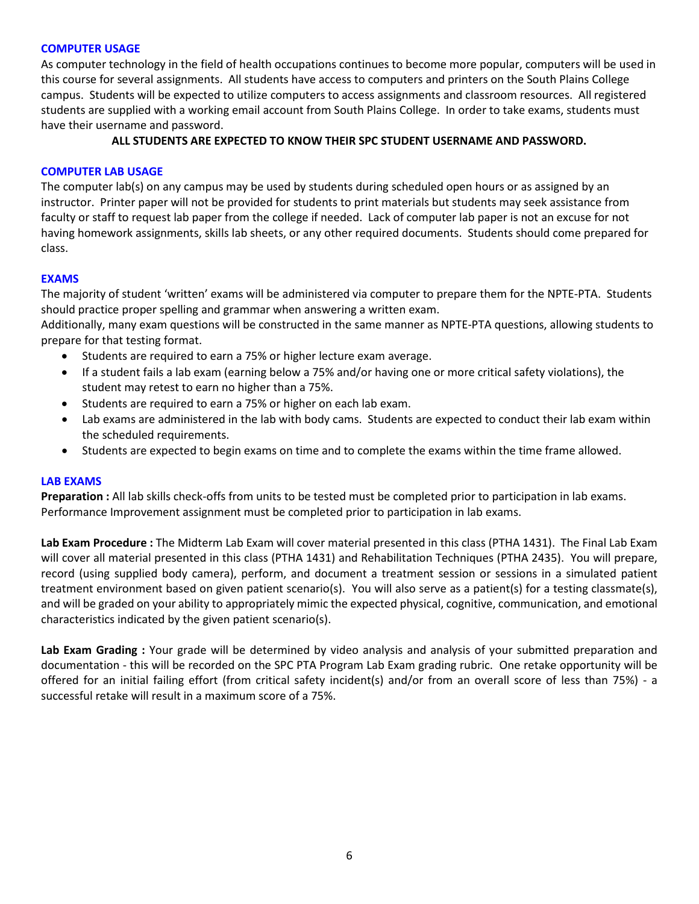# **COMPUTER USAGE**

As computer technology in the field of health occupations continues to become more popular, computers will be used in this course for several assignments. All students have access to computers and printers on the South Plains College campus. Students will be expected to utilize computers to access assignments and classroom resources. All registered students are supplied with a working email account from South Plains College. In order to take exams, students must have their username and password.

# **ALL STUDENTS ARE EXPECTED TO KNOW THEIR SPC STUDENT USERNAME AND PASSWORD.**

# **COMPUTER LAB USAGE**

The computer lab(s) on any campus may be used by students during scheduled open hours or as assigned by an instructor. Printer paper will not be provided for students to print materials but students may seek assistance from faculty or staff to request lab paper from the college if needed. Lack of computer lab paper is not an excuse for not having homework assignments, skills lab sheets, or any other required documents. Students should come prepared for class.

# **EXAMS**

The majority of student 'written' exams will be administered via computer to prepare them for the NPTE-PTA. Students should practice proper spelling and grammar when answering a written exam.

Additionally, many exam questions will be constructed in the same manner as NPTE-PTA questions, allowing students to prepare for that testing format.

- Students are required to earn a 75% or higher lecture exam average.
- If a student fails a lab exam (earning below a 75% and/or having one or more critical safety violations), the student may retest to earn no higher than a 75%.
- Students are required to earn a 75% or higher on each lab exam.
- Lab exams are administered in the lab with body cams. Students are expected to conduct their lab exam within the scheduled requirements.
- Students are expected to begin exams on time and to complete the exams within the time frame allowed.

#### **LAB EXAMS**

**Preparation :** All lab skills check-offs from units to be tested must be completed prior to participation in lab exams. Performance Improvement assignment must be completed prior to participation in lab exams.

**Lab Exam Procedure :** The Midterm Lab Exam will cover material presented in this class (PTHA 1431). The Final Lab Exam will cover all material presented in this class (PTHA 1431) and Rehabilitation Techniques (PTHA 2435). You will prepare, record (using supplied body camera), perform, and document a treatment session or sessions in a simulated patient treatment environment based on given patient scenario(s). You will also serve as a patient(s) for a testing classmate(s), and will be graded on your ability to appropriately mimic the expected physical, cognitive, communication, and emotional characteristics indicated by the given patient scenario(s).

Lab Exam Grading : Your grade will be determined by video analysis and analysis of your submitted preparation and documentation - this will be recorded on the SPC PTA Program Lab Exam grading rubric. One retake opportunity will be offered for an initial failing effort (from critical safety incident(s) and/or from an overall score of less than 75%) - a successful retake will result in a maximum score of a 75%.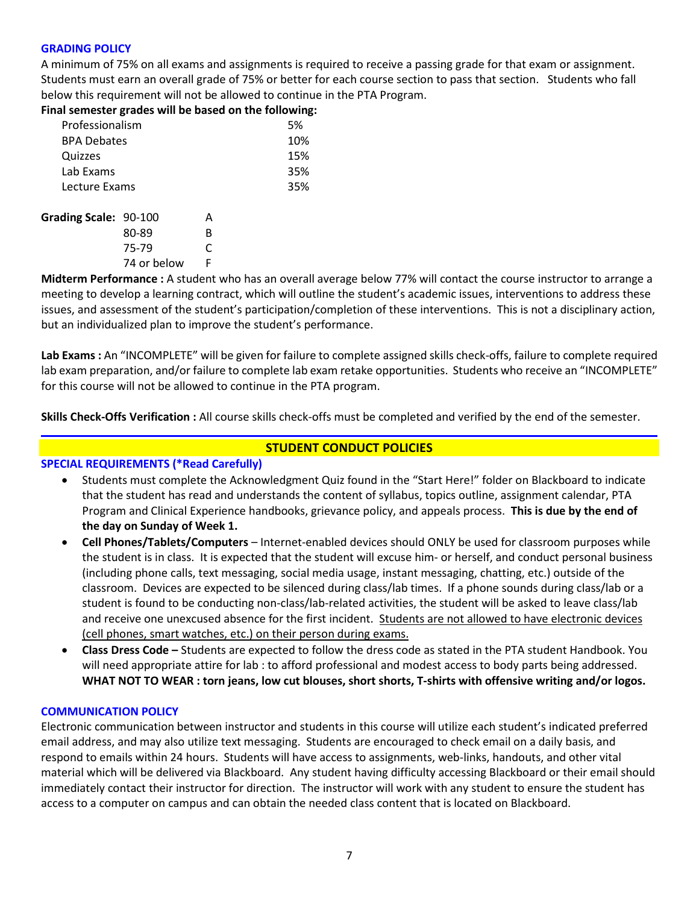# **GRADING POLICY**

A minimum of 75% on all exams and assignments is required to receive a passing grade for that exam or assignment. Students must earn an overall grade of 75% or better for each course section to pass that section. Students who fall below this requirement will not be allowed to continue in the PTA Program.

**Final semester grades will be based on the following:**

| Professionalism       |             |   | 5%  |
|-----------------------|-------------|---|-----|
| <b>BPA Debates</b>    |             |   | 10% |
| Quizzes               |             |   | 15% |
| Lab Exams             |             |   | 35% |
| Lecture Exams         |             |   | 35% |
| Grading Scale: 90-100 |             | А |     |
|                       | 80-89       | в |     |
|                       | 75-79       | C |     |
|                       | 74 or below | F |     |

**Midterm Performance :** A student who has an overall average below 77% will contact the course instructor to arrange a meeting to develop a learning contract, which will outline the student's academic issues, interventions to address these issues, and assessment of the student's participation/completion of these interventions. This is not a disciplinary action, but an individualized plan to improve the student's performance.

**Lab Exams :** An "INCOMPLETE" will be given for failure to complete assigned skills check-offs, failure to complete required lab exam preparation, and/or failure to complete lab exam retake opportunities. Students who receive an "INCOMPLETE" for this course will not be allowed to continue in the PTA program.

**Skills Check-Offs Verification :** All course skills check-offs must be completed and verified by the end of the semester.

# **STUDENT CONDUCT POLICIES**

# **SPECIAL REQUIREMENTS (\*Read Carefully)**

- Students must complete the Acknowledgment Quiz found in the "Start Here!" folder on Blackboard to indicate that the student has read and understands the content of syllabus, topics outline, assignment calendar, PTA Program and Clinical Experience handbooks, grievance policy, and appeals process. **This is due by the end of the day on Sunday of Week 1.**
- **Cell Phones/Tablets/Computers** Internet-enabled devices should ONLY be used for classroom purposes while the student is in class. It is expected that the student will excuse him- or herself, and conduct personal business (including phone calls, text messaging, social media usage, instant messaging, chatting, etc.) outside of the classroom. Devices are expected to be silenced during class/lab times. If a phone sounds during class/lab or a student is found to be conducting non-class/lab-related activities, the student will be asked to leave class/lab and receive one unexcused absence for the first incident. Students are not allowed to have electronic devices (cell phones, smart watches, etc.) on their person during exams.
- **Class Dress Code –** Students are expected to follow the dress code as stated in the PTA student Handbook. You will need appropriate attire for lab : to afford professional and modest access to body parts being addressed. **WHAT NOT TO WEAR : torn jeans, low cut blouses, short shorts, T-shirts with offensive writing and/or logos.**

#### **COMMUNICATION POLICY**

Electronic communication between instructor and students in this course will utilize each student's indicated preferred email address, and may also utilize text messaging. Students are encouraged to check email on a daily basis, and respond to emails within 24 hours. Students will have access to assignments, web-links, handouts, and other vital material which will be delivered via Blackboard. Any student having difficulty accessing Blackboard or their email should immediately contact their instructor for direction. The instructor will work with any student to ensure the student has access to a computer on campus and can obtain the needed class content that is located on Blackboard.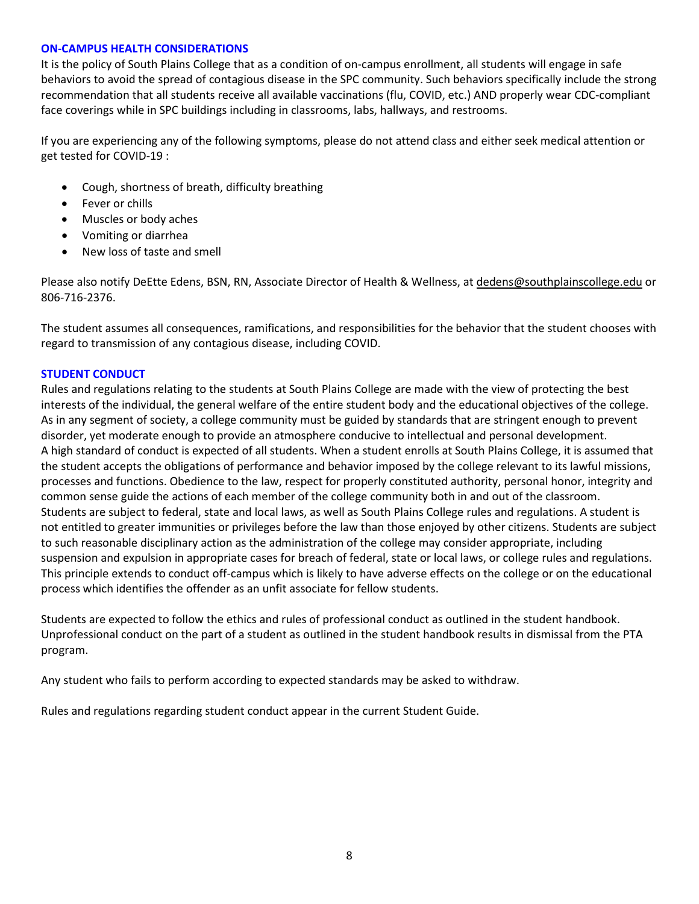# **ON-CAMPUS HEALTH CONSIDERATIONS**

It is the policy of South Plains College that as a condition of on-campus enrollment, all students will engage in safe behaviors to avoid the spread of contagious disease in the SPC community. Such behaviors specifically include the strong recommendation that all students receive all available vaccinations (flu, COVID, etc.) AND properly wear CDC-compliant face coverings while in SPC buildings including in classrooms, labs, hallways, and restrooms.

If you are experiencing any of the following symptoms, please do not attend class and either seek medical attention or get tested for COVID-19 :

- Cough, shortness of breath, difficulty breathing
- Fever or chills
- Muscles or body aches
- Vomiting or diarrhea
- New loss of taste and smell

Please also notify DeEtte Edens, BSN, RN, Associate Director of Health & Wellness, at [dedens@southplainscollege.edu](mailto:dedens@southplainscollege.edu) or 806-716-2376.

The student assumes all consequences, ramifications, and responsibilities for the behavior that the student chooses with regard to transmission of any contagious disease, including COVID.

# **STUDENT CONDUCT**

Rules and regulations relating to the students at South Plains College are made with the view of protecting the best interests of the individual, the general welfare of the entire student body and the educational objectives of the college. As in any segment of society, a college community must be guided by standards that are stringent enough to prevent disorder, yet moderate enough to provide an atmosphere conducive to intellectual and personal development. A high standard of conduct is expected of all students. When a student enrolls at South Plains College, it is assumed that the student accepts the obligations of performance and behavior imposed by the college relevant to its lawful missions, processes and functions. Obedience to the law, respect for properly constituted authority, personal honor, integrity and common sense guide the actions of each member of the college community both in and out of the classroom. Students are subject to federal, state and local laws, as well as South Plains College rules and regulations. A student is not entitled to greater immunities or privileges before the law than those enjoyed by other citizens. Students are subject to such reasonable disciplinary action as the administration of the college may consider appropriate, including suspension and expulsion in appropriate cases for breach of federal, state or local laws, or college rules and regulations. This principle extends to conduct off-campus which is likely to have adverse effects on the college or on the educational process which identifies the offender as an unfit associate for fellow students.

Students are expected to follow the ethics and rules of professional conduct as outlined in the student handbook. Unprofessional conduct on the part of a student as outlined in the student handbook results in dismissal from the PTA program.

Any student who fails to perform according to expected standards may be asked to withdraw.

Rules and regulations regarding student conduct appear in the current Student Guide.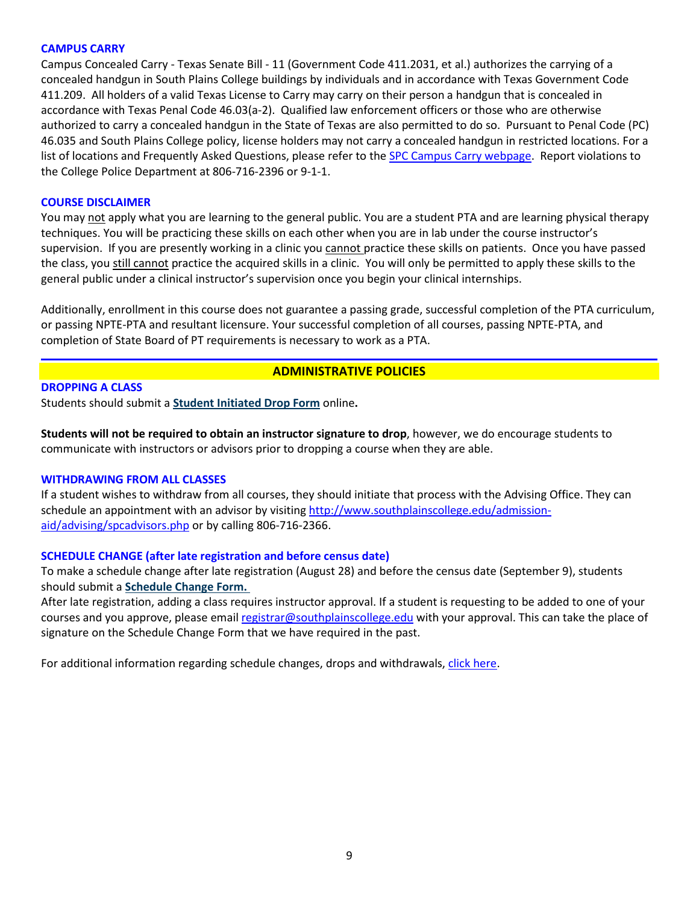# **CAMPUS CARRY**

Campus Concealed Carry - Texas Senate Bill - 11 (Government Code 411.2031, et al.) authorizes the carrying of a concealed handgun in South Plains College buildings by individuals and in accordance with Texas Government Code 411.209. All holders of a valid Texas License to Carry may carry on their person a handgun that is concealed in accordance with Texas Penal Code 46.03(a-2). Qualified law enforcement officers or those who are otherwise authorized to carry a concealed handgun in the State of Texas are also permitted to do so. Pursuant to Penal Code (PC) 46.035 and South Plains College policy, license holders may not carry a concealed handgun in restricted locations. For a list of locations and Frequently Asked Questions, please refer to the [SPC Campus Carry webpage.](http://www.southplainscollege.edu/campuscarry.php) Report violations to the College Police Department at 806-716-2396 or 9-1-1.

#### **COURSE DISCLAIMER**

You may not apply what you are learning to the general public. You are a student PTA and are learning physical therapy techniques. You will be practicing these skills on each other when you are in lab under the course instructor's supervision. If you are presently working in a clinic you cannot practice these skills on patients. Once you have passed the class, you still cannot practice the acquired skills in a clinic. You will only be permitted to apply these skills to the general public under a clinical instructor's supervision once you begin your clinical internships.

Additionally, enrollment in this course does not guarantee a passing grade, successful completion of the PTA curriculum, or passing NPTE-PTA and resultant licensure. Your successful completion of all courses, passing NPTE-PTA, and completion of State Board of PT requirements is necessary to work as a PTA.

# **ADMINISTRATIVE POLICIES**

**DROPPING A CLASS**

Students should submit a **[Student Initiated Drop Form](https://forms.office.com/Pages/ResponsePage.aspx?id=ZrGRbWrP6UWeIqAmJdCCqRkmPIpp6AVCixFJfcqITt9UODExTUFXS0JOODhJOTlYM0NEV1kzRk9GMS4u)** online**.**

**Students will not be required to obtain an instructor signature to drop**, however, we do encourage students to communicate with instructors or advisors prior to dropping a course when they are able.

#### **WITHDRAWING FROM ALL CLASSES**

If a student wishes to withdraw from all courses, they should initiate that process with the Advising Office. They can schedule an appointment with an advisor by visiting [http://www.southplainscollege.edu/admission](http://www.southplainscollege.edu/admission-aid/advising/spcadvisors.php)[aid/advising/spcadvisors.php](http://www.southplainscollege.edu/admission-aid/advising/spcadvisors.php) or by calling 806-716-2366.

# **SCHEDULE CHANGE (after late registration and before census date)**

To make a schedule change after late registration (August 28) and before the census date (September 9), students should submit a **[Schedule Change Form.](https://forms.office.com/Pages/ResponsePage.aspx?id=ZrGRbWrP6UWeIqAmJdCCqRkmPIpp6AVCixFJfcqITt9UODIyTkRZSkFHVDNSVFRFV0g0T0tVWVAwRi4u)**

After late registration, adding a class requires instructor approval. If a student is requesting to be added to one of your courses and you approve, please email [registrar@southplainscollege.edu](mailto:registrar@southplainscollege.edu) with your approval. This can take the place of signature on the Schedule Change Form that we have required in the past.

For additional information regarding schedule changes, drops and withdrawals[, click here.](http://www.southplainscollege.edu/admission-aid/apply/schedulechanges.php)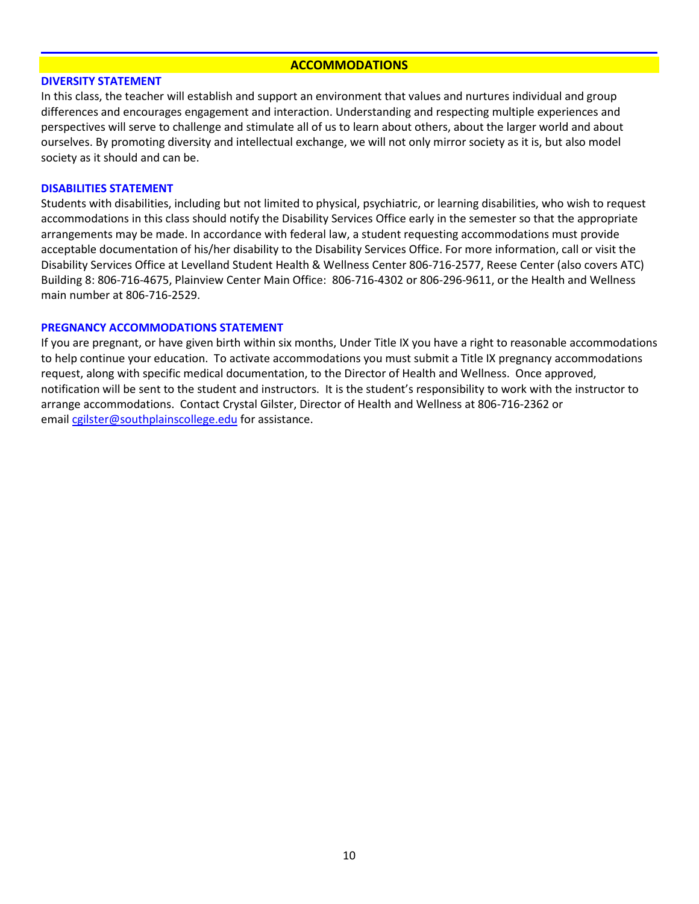#### **ACCOMMODATIONS**

#### **DIVERSITY STATEMENT**

In this class, the teacher will establish and support an environment that values and nurtures individual and group differences and encourages engagement and interaction. Understanding and respecting multiple experiences and perspectives will serve to challenge and stimulate all of us to learn about others, about the larger world and about ourselves. By promoting diversity and intellectual exchange, we will not only mirror society as it is, but also model society as it should and can be.

#### **DISABILITIES STATEMENT**

Students with disabilities, including but not limited to physical, psychiatric, or learning disabilities, who wish to request accommodations in this class should notify the Disability Services Office early in the semester so that the appropriate arrangements may be made. In accordance with federal law, a student requesting accommodations must provide acceptable documentation of his/her disability to the Disability Services Office. For more information, call or visit the Disability Services Office at Levelland Student Health & Wellness Center 806-716-2577, Reese Center (also covers ATC) Building 8: 806-716-4675, Plainview Center Main Office: 806-716-4302 or 806-296-9611, or the Health and Wellness main number at 806-716-2529.

## **PREGNANCY ACCOMMODATIONS STATEMENT**

If you are pregnant, or have given birth within six months, Under Title IX you have a right to reasonable accommodations to help continue your education. To activate accommodations you must submit a Title IX pregnancy accommodations request, along with specific medical documentation, to the Director of Health and Wellness. Once approved, notification will be sent to the student and instructors. It is the student's responsibility to work with the instructor to arrange accommodations. Contact Crystal Gilster, Director of Health and Wellness at 806-716-2362 or email [cgilster@southplainscollege.edu](mailto:cgilster@southplainscollege.edu) for assistance.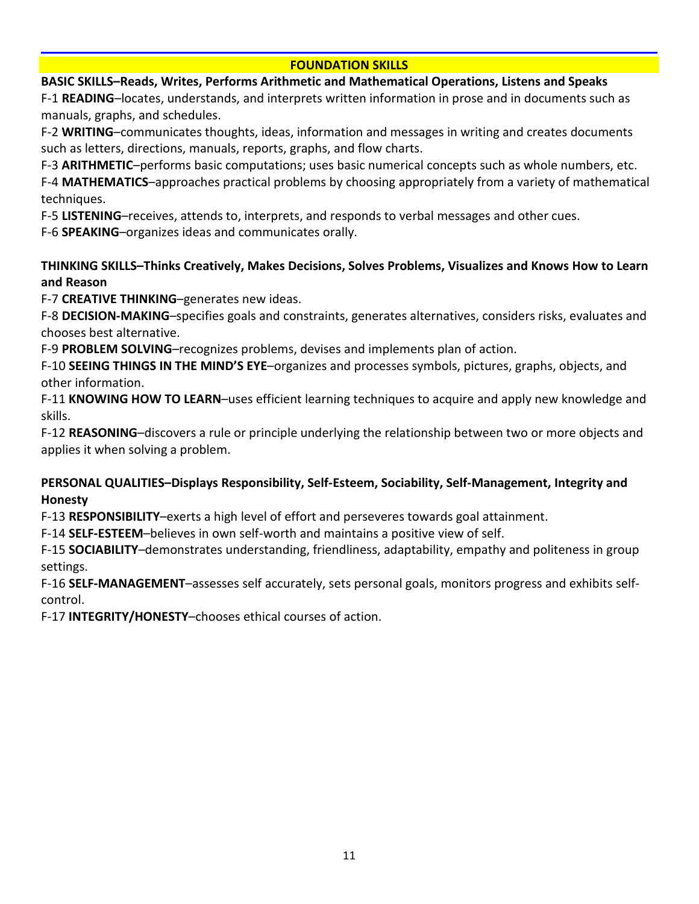# **FOUNDATION SKILLS**

# **BASIC SKILLS–Reads, Writes, Performs Arithmetic and Mathematical Operations, Listens and Speaks**

F-1 **READING**–locates, understands, and interprets written information in prose and in documents such as manuals, graphs, and schedules.

F-2 **WRITING**–communicates thoughts, ideas, information and messages in writing and creates documents such as letters, directions, manuals, reports, graphs, and flow charts.

F-3 **ARITHMETIC**–performs basic computations; uses basic numerical concepts such as whole numbers, etc.

F-4 **MATHEMATICS**–approaches practical problems by choosing appropriately from a variety of mathematical techniques.

F-5 **LISTENING**–receives, attends to, interprets, and responds to verbal messages and other cues.

F-6 **SPEAKING**–organizes ideas and communicates orally.

# **THINKING SKILLS–Thinks Creatively, Makes Decisions, Solves Problems, Visualizes and Knows How to Learn and Reason**

F-7 **CREATIVE THINKING**–generates new ideas.

F-8 **DECISION-MAKING**–specifies goals and constraints, generates alternatives, considers risks, evaluates and chooses best alternative.

F-9 **PROBLEM SOLVING**–recognizes problems, devises and implements plan of action.

F-10 **SEEING THINGS IN THE MIND'S EYE**–organizes and processes symbols, pictures, graphs, objects, and other information.

F-11 **KNOWING HOW TO LEARN**–uses efficient learning techniques to acquire and apply new knowledge and skills.

F-12 **REASONING**–discovers a rule or principle underlying the relationship between two or more objects and applies it when solving a problem.

# **PERSONAL QUALITIES–Displays Responsibility, Self-Esteem, Sociability, Self-Management, Integrity and Honesty**

F-13 **RESPONSIBILITY**–exerts a high level of effort and perseveres towards goal attainment.

F-14 **SELF-ESTEEM**–believes in own self-worth and maintains a positive view of self.

F-15 **SOCIABILITY**–demonstrates understanding, friendliness, adaptability, empathy and politeness in group settings.

F-16 **SELF-MANAGEMENT**–assesses self accurately, sets personal goals, monitors progress and exhibits selfcontrol.

F-17 **INTEGRITY/HONESTY**–chooses ethical courses of action.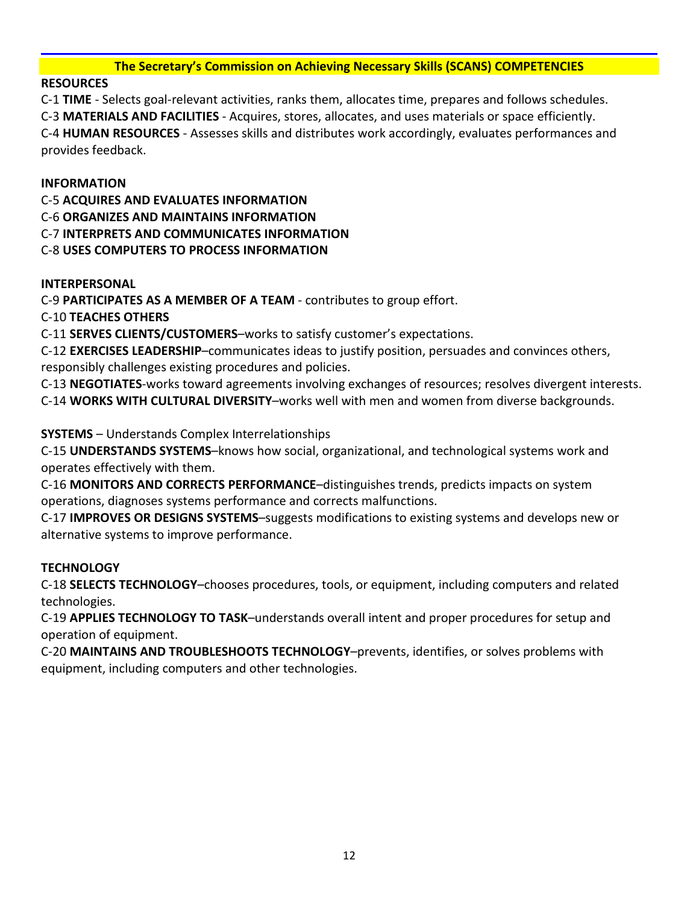# **The Secretary's Commission on Achieving Necessary Skills (SCANS) COMPETENCIES**

# **RESOURCES**

C-1 **TIME** - Selects goal-relevant activities, ranks them, allocates time, prepares and follows schedules. C-3 **MATERIALS AND FACILITIES** - Acquires, stores, allocates, and uses materials or space efficiently. C-4 **HUMAN RESOURCES** - Assesses skills and distributes work accordingly, evaluates performances and provides feedback.

# **INFORMATION**

C-5 **ACQUIRES AND EVALUATES INFORMATION**

C-6 **ORGANIZES AND MAINTAINS INFORMATION**

C-7 **INTERPRETS AND COMMUNICATES INFORMATION**

C-8 **USES COMPUTERS TO PROCESS INFORMATION**

# **INTERPERSONAL**

C-9 **PARTICIPATES AS A MEMBER OF A TEAM** - contributes to group effort.

C-10 **TEACHES OTHERS**

C-11 **SERVES CLIENTS/CUSTOMERS**–works to satisfy customer's expectations.

C-12 **EXERCISES LEADERSHIP**–communicates ideas to justify position, persuades and convinces others, responsibly challenges existing procedures and policies.

C-13 **NEGOTIATES**-works toward agreements involving exchanges of resources; resolves divergent interests. C-14 **WORKS WITH CULTURAL DIVERSITY**–works well with men and women from diverse backgrounds.

**SYSTEMS** – Understands Complex Interrelationships

C-15 **UNDERSTANDS SYSTEMS**–knows how social, organizational, and technological systems work and operates effectively with them.

C-16 **MONITORS AND CORRECTS PERFORMANCE**–distinguishes trends, predicts impacts on system operations, diagnoses systems performance and corrects malfunctions.

C-17 **IMPROVES OR DESIGNS SYSTEMS**–suggests modifications to existing systems and develops new or alternative systems to improve performance.

# **TECHNOLOGY**

C-18 **SELECTS TECHNOLOGY**–chooses procedures, tools, or equipment, including computers and related technologies.

C-19 **APPLIES TECHNOLOGY TO TASK**–understands overall intent and proper procedures for setup and operation of equipment.

C-20 **MAINTAINS AND TROUBLESHOOTS TECHNOLOGY**–prevents, identifies, or solves problems with equipment, including computers and other technologies.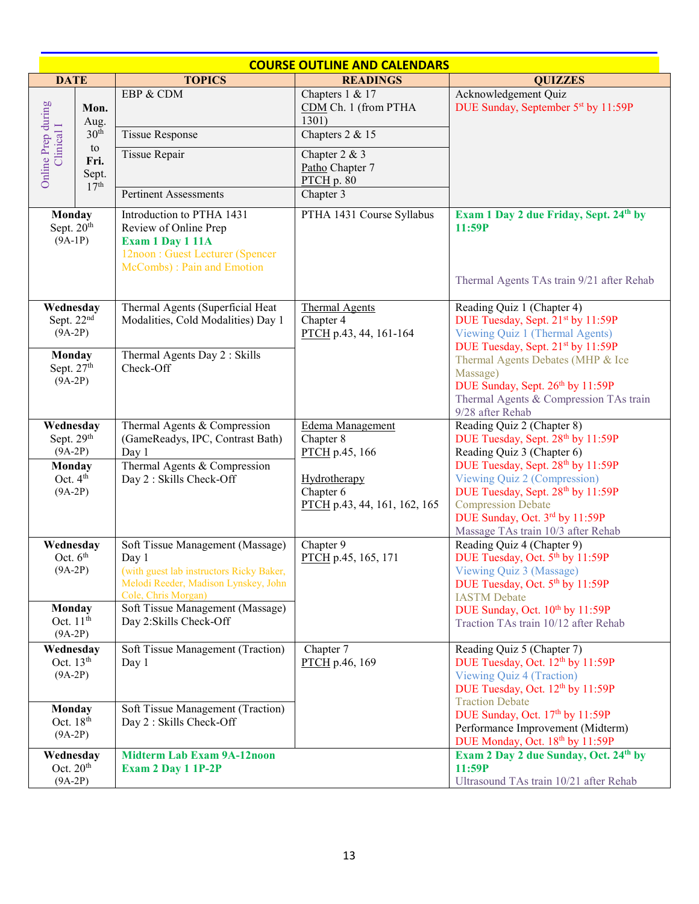|                                                  | <b>COURSE OUTLINE AND CALENDARS</b>                                         |                                                                                                                                                      |                                                               |                                                                                                                                                                                                             |
|--------------------------------------------------|-----------------------------------------------------------------------------|------------------------------------------------------------------------------------------------------------------------------------------------------|---------------------------------------------------------------|-------------------------------------------------------------------------------------------------------------------------------------------------------------------------------------------------------------|
| <b>DATE</b>                                      |                                                                             | <b>TOPICS</b>                                                                                                                                        | <b>READINGS</b>                                               | <b>QUIZZES</b>                                                                                                                                                                                              |
|                                                  | Mon.<br>Aug.<br>30 <sup>th</sup><br>to<br>Fri.<br>Sept.<br>17 <sup>th</sup> | EBP & CDM                                                                                                                                            | Chapters 1 & 17<br>CDM Ch. 1 (from PTHA<br>1301)              | Acknowledgement Quiz<br>DUE Sunday, September 5 <sup>st</sup> by 11:59P                                                                                                                                     |
|                                                  |                                                                             | <b>Tissue Response</b>                                                                                                                               | Chapters 2 & 15                                               |                                                                                                                                                                                                             |
| Online Prep during<br>Clinical I                 |                                                                             | Tissue Repair<br><b>Pertinent Assessments</b>                                                                                                        | Chapter 2 & 3<br>Patho Chapter 7<br>$PTCH$ p. 80<br>Chapter 3 |                                                                                                                                                                                                             |
|                                                  |                                                                             |                                                                                                                                                      |                                                               |                                                                                                                                                                                                             |
| Monday<br>Sept. 20 <sup>th</sup><br>$(9A-1P)$    |                                                                             | Introduction to PTHA 1431<br>Review of Online Prep<br>Exam 1 Day 1 11A<br>12noon: Guest Lecturer (Spencer<br>McCombs) : Pain and Emotion             | PTHA 1431 Course Syllabus                                     | Exam 1 Day 2 due Friday, Sept. 24th by<br>11:59P<br>Thermal Agents TAs train 9/21 after Rehab                                                                                                               |
| Wednesday<br>Sept. 22 <sup>nd</sup><br>$(9A-2P)$ |                                                                             | Thermal Agents (Superficial Heat<br>Modalities, Cold Modalities) Day 1                                                                               | <b>Thermal Agents</b><br>Chapter 4<br>PTCH p.43, 44, 161-164  | Reading Quiz 1 (Chapter 4)<br>DUE Tuesday, Sept. 21st by 11:59P<br>Viewing Quiz 1 (Thermal Agents)<br>DUE Tuesday, Sept. 21st by 11:59P                                                                     |
| Monday<br>Sept. 27th<br>$(9A-2P)$                |                                                                             | Thermal Agents Day 2 : Skills<br>Check-Off                                                                                                           |                                                               | Thermal Agents Debates (MHP & Ice<br>Massage)<br>DUE Sunday, Sept. 26th by 11:59P<br>Thermal Agents & Compression TAs train<br>9/28 after Rehab                                                             |
| Wednesday<br>Sept. 29 <sup>th</sup><br>$(9A-2P)$ |                                                                             | Thermal Agents & Compression<br>(GameReadys, IPC, Contrast Bath)<br>Day 1                                                                            | Edema Management<br>Chapter 8<br>PTCH p.45, 166               | Reading Quiz 2 (Chapter 8)<br>DUE Tuesday, Sept. 28th by 11:59P<br>Reading Quiz 3 (Chapter 6)                                                                                                               |
| Monday<br>Oct. 4 <sup>th</sup><br>$(9A-2P)$      |                                                                             | Thermal Agents & Compression<br>Day 2 : Skills Check-Off                                                                                             | Hydrotherapy<br>Chapter 6<br>PTCH p.43, 44, 161, 162, 165     | DUE Tuesday, Sept. 28th by 11:59P<br>Viewing Quiz 2 (Compression)<br>DUE Tuesday, Sept. 28th by 11:59P<br><b>Compression Debate</b><br>DUE Sunday, Oct. 3rd by 11:59P<br>Massage TAs train 10/3 after Rehab |
| Wednesday<br>Oct. $6th$<br>$(9A-2P)$             |                                                                             | Soft Tissue Management (Massage)<br>Day 1<br>(with guest lab instructors Ricky Baker,<br>Melodi Reeder, Madison Lynskey, John<br>Cole, Chris Morgan) | Chapter 9<br>PTCH p.45, 165, 171                              | Reading Quiz 4 (Chapter 9)<br>DUE Tuesday, Oct. 5th by 11:59P<br>Viewing Quiz 3 (Massage)<br>DUE Tuesday, Oct. 5 <sup>th</sup> by 11:59P<br><b>IASTM</b> Debate                                             |
| Monday<br>Oct. $11th$<br>$(9A-2P)$               |                                                                             | Soft Tissue Management (Massage)<br>Day 2:Skills Check-Off                                                                                           |                                                               | DUE Sunday, Oct. 10th by 11:59P<br>Traction TAs train 10/12 after Rehab                                                                                                                                     |
| Wednesday<br>Oct. $13th$<br>$(9A-2P)$            |                                                                             | Soft Tissue Management (Traction)<br>Day 1                                                                                                           | Chapter 7<br>PTCH p.46, 169                                   | Reading Quiz 5 (Chapter 7)<br>DUE Tuesday, Oct. 12 <sup>th</sup> by 11:59P<br>Viewing Quiz 4 (Traction)<br>DUE Tuesday, Oct. 12th by 11:59P<br><b>Traction Debate</b>                                       |
| Monday<br>Oct. 18 <sup>th</sup><br>$(9A-2P)$     |                                                                             | Soft Tissue Management (Traction)<br>Day 2 : Skills Check-Off                                                                                        |                                                               | DUE Sunday, Oct. 17th by 11:59P<br>Performance Improvement (Midterm)<br>DUE Monday, Oct. 18th by 11:59P                                                                                                     |
| Wednesday<br>Oct. $20th$<br>$(9A-2P)$            |                                                                             | <b>Midterm Lab Exam 9A-12noon</b><br><b>Exam 2 Day 1 1P-2P</b>                                                                                       |                                                               | Exam 2 Day 2 due Sunday, Oct. 24th by<br>11:59P<br>Ultrasound TAs train 10/21 after Rehab                                                                                                                   |